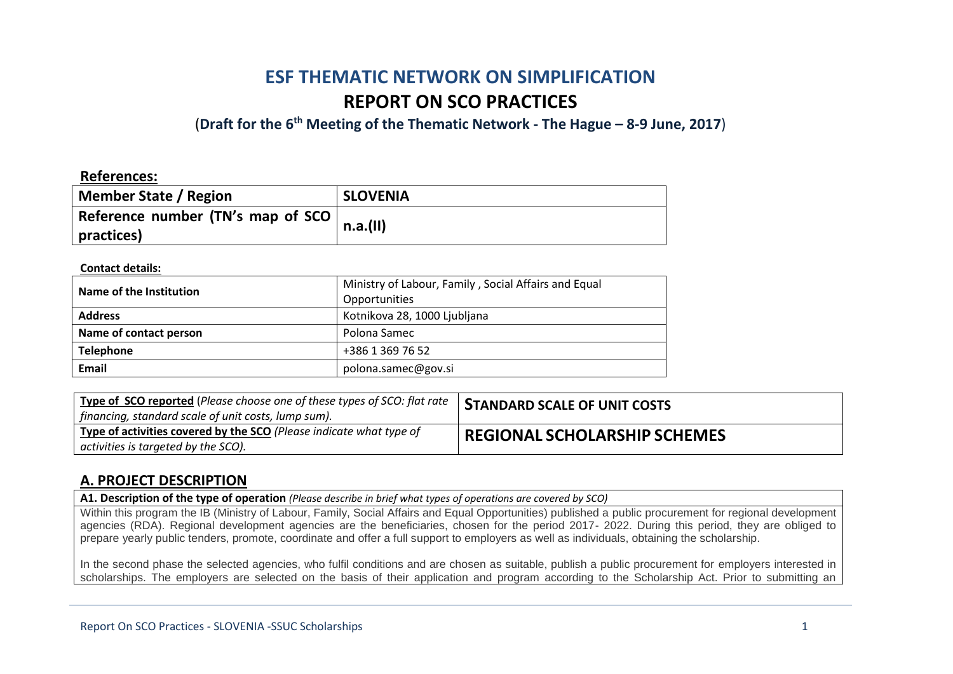# **ESF THEMATIC NETWORK ON SIMPLIFICATION REPORT ON SCO PRACTICES**

(**Draft for the 6th Meeting of the Thematic Network - The Hague – 8-9 June, 2017**)

### **References:**

| <b>Member State / Region</b>                      | <b>SLOVENIA</b> |
|---------------------------------------------------|-----------------|
| Reference number (TN's map of SCO  <br>practices) | n.a.(II)        |

#### **Contact details:**

| Name of the Institution | Ministry of Labour, Family, Social Affairs and Equal<br>Opportunities |
|-------------------------|-----------------------------------------------------------------------|
| <b>Address</b>          | Kotnikova 28, 1000 Ljubljana                                          |
| Name of contact person  | Polona Samec                                                          |
| <b>Telephone</b>        | +386 1 369 76 52                                                      |
| Email                   | polona.samec@gov.si                                                   |

| Type of SCO reported (Please choose one of these types of SCO: flat rate<br>  financing, standard scale of unit costs, lump sum). | <b>STANDARD SCALE OF UNIT COSTS</b> |
|-----------------------------------------------------------------------------------------------------------------------------------|-------------------------------------|
| Type of activities covered by the SCO (Please indicate what type of<br>activities is targeted by the SCO).                        | <b>REGIONAL SCHOLARSHIP SCHEMES</b> |

### **A. PROJECT DESCRIPTION**

**A1. Description of the type of operation** *(Please describe in brief what types of operations are covered by SCO)*

Within this program the IB (Ministry of Labour, Family, Social Affairs and Equal Opportunities) published a public procurement for regional development agencies (RDA). Regional development agencies are the beneficiaries, chosen for the period 2017- 2022. During this period, they are obliged to prepare yearly public tenders, promote, coordinate and offer a full support to employers as well as individuals, obtaining the scholarship.

In the second phase the selected agencies, who fulfil conditions and are chosen as suitable, publish a public procurement for employers interested in scholarships. The employers are selected on the basis of their application and program according to the Scholarship Act. Prior to submitting an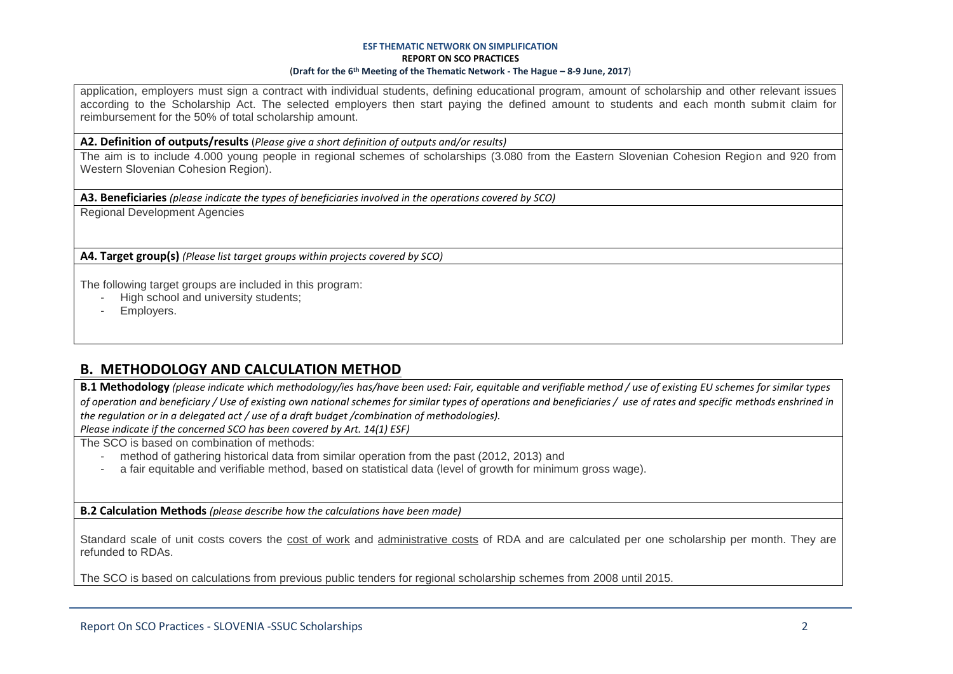#### **ESF THEMATIC NETWORK ON SIMPLIFICATION REPORT ON SCO PRACTICES** (**Draft for the 6th Meeting of the Thematic Network - The Hague – 8-9 June, 2017**)

application, employers must sign a contract with individual students, defining educational program, amount of scholarship and other relevant issues according to the Scholarship Act. The selected employers then start paying the defined amount to students and each month submit claim for reimbursement for the 50% of total scholarship amount.

#### **A2. Definition of outputs/results** (*Please give a short definition of outputs and/or results)*

The aim is to include 4.000 young people in regional schemes of scholarships (3.080 from the Eastern Slovenian Cohesion Region and 920 from Western Slovenian Cohesion Region).

**A3. Beneficiaries** *(please indicate the types of beneficiaries involved in the operations covered by SCO)*

Regional Development Agencies

**A4. Target group(s)** *(Please list target groups within projects covered by SCO)*

The following target groups are included in this program:

- High school and university students;
- Employers.

### **B. METHODOLOGY AND CALCULATION METHOD**

**B.1 Methodology** *(please indicate which methodology/ies has/have been used: Fair, equitable and verifiable method / use of existing EU schemes for similar types of operation and beneficiary / Use of existing own national schemes for similar types of operations and beneficiaries / use of rates and specific methods enshrined in the regulation or in a delegated act / use of a draft budget /combination of methodologies).*

*Please indicate if the concerned SCO has been covered by Art. 14(1) ESF)*

The SCO is based on combination of methods:

- method of gathering historical data from similar operation from the past (2012, 2013) and
- a fair equitable and verifiable method, based on statistical data (level of growth for minimum gross wage).

**B.2 Calculation Methods** *(please describe how the calculations have been made)*

Standard scale of unit costs covers the cost of work and administrative costs of RDA and are calculated per one scholarship per month. They are refunded to RDAs.

The SCO is based on calculations from previous public tenders for regional scholarship schemes from 2008 until 2015.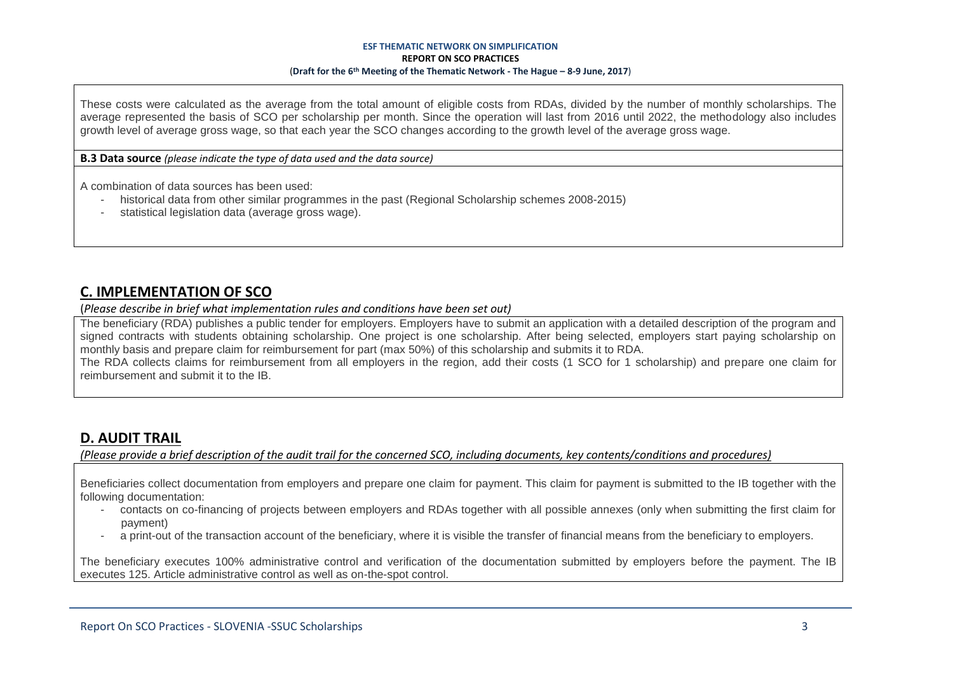#### **ESF THEMATIC NETWORK ON SIMPLIFICATION REPORT ON SCO PRACTICES** (**Draft for the 6th Meeting of the Thematic Network - The Hague – 8-9 June, 2017**)

These costs were calculated as the average from the total amount of eligible costs from RDAs, divided by the number of monthly scholarships. The average represented the basis of SCO per scholarship per month. Since the operation will last from 2016 until 2022, the methodology also includes growth level of average gross wage, so that each year the SCO changes according to the growth level of the average gross wage.

**B.3 Data source** *(please indicate the type of data used and the data source)*

A combination of data sources has been used:

- historical data from other similar programmes in the past (Regional Scholarship schemes 2008-2015)
- statistical legislation data (average gross wage).

### **C. IMPLEMENTATION OF SCO**

(*Please describe in brief what implementation rules and conditions have been set out)*

The beneficiary (RDA) publishes a public tender for employers. Employers have to submit an application with a detailed description of the program and signed contracts with students obtaining scholarship. One project is one scholarship. After being selected, employers start paying scholarship on monthly basis and prepare claim for reimbursement for part (max 50%) of this scholarship and submits it to RDA. The RDA collects claims for reimbursement from all employers in the region, add their costs (1 SCO for 1 scholarship) and prepare one claim for reimbursement and submit it to the IB.

## **D. AUDIT TRAIL**

*(Please provide a brief description of the audit trail for the concerned SCO, including documents, key contents/conditions and procedures)*

Beneficiaries collect documentation from employers and prepare one claim for payment. This claim for payment is submitted to the IB together with the following documentation:

- contacts on co-financing of projects between employers and RDAs together with all possible annexes (only when submitting the first claim for payment)
- a print-out of the transaction account of the beneficiary, where it is visible the transfer of financial means from the beneficiary to employers.

The beneficiary executes 100% administrative control and verification of the documentation submitted by employers before the payment. The IB executes 125. Article administrative control as well as on-the-spot control.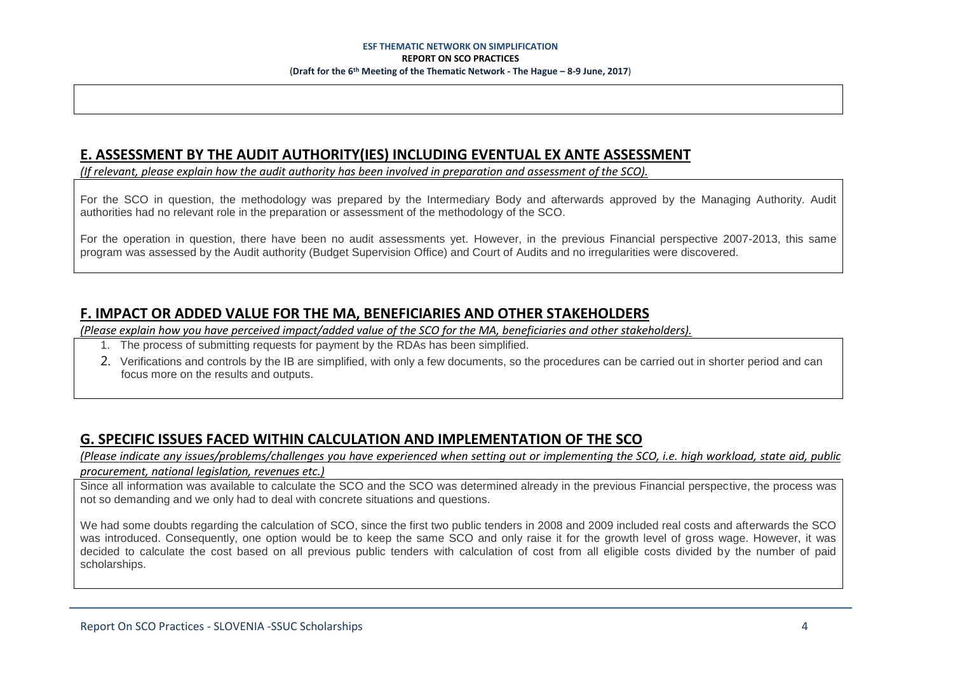## **E. ASSESSMENT BY THE AUDIT AUTHORITY(IES) INCLUDING EVENTUAL EX ANTE ASSESSMENT**

*(If relevant, please explain how the audit authority has been involved in preparation and assessment of the SCO).* 

For the SCO in question, the methodology was prepared by the Intermediary Body and afterwards approved by the Managing Authority. Audit authorities had no relevant role in the preparation or assessment of the methodology of the SCO.

For the operation in question, there have been no audit assessments yet. However, in the previous Financial perspective 2007-2013, this same program was assessed by the Audit authority (Budget Supervision Office) and Court of Audits and no irregularities were discovered.

## **F. IMPACT OR ADDED VALUE FOR THE MA, BENEFICIARIES AND OTHER STAKEHOLDERS**

*(Please explain how you have perceived impact/added value of the SCO for the MA, beneficiaries and other stakeholders).* 

- 1. The process of submitting requests for payment by the RDAs has been simplified.
- 2. Verifications and controls by the IB are simplified, with only a few documents, so the procedures can be carried out in shorter period and can focus more on the results and outputs.

## **G. SPECIFIC ISSUES FACED WITHIN CALCULATION AND IMPLEMENTATION OF THE SCO**

*(Please indicate any issues/problems/challenges you have experienced when setting out or implementing the SCO, i.e. high workload, state aid, public procurement, national legislation, revenues etc.)*

Since all information was available to calculate the SCO and the SCO was determined already in the previous Financial perspective, the process was not so demanding and we only had to deal with concrete situations and questions.

We had some doubts regarding the calculation of SCO, since the first two public tenders in 2008 and 2009 included real costs and afterwards the SCO was introduced. Consequently, one option would be to keep the same SCO and only raise it for the growth level of gross wage. However, it was decided to calculate the cost based on all previous public tenders with calculation of cost from all eligible costs divided by the number of paid scholarships.